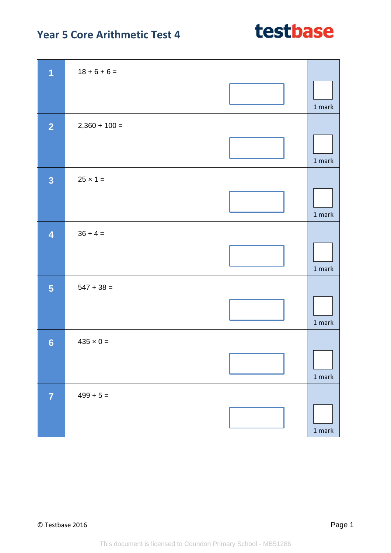| $\overline{1}$          | $18 + 6 + 6 =$   |        |
|-------------------------|------------------|--------|
|                         |                  | 1 mark |
| $\overline{2}$          | $2,360 + 100 =$  |        |
|                         |                  | 1 mark |
| $\overline{\mathbf{3}}$ | $25 \times 1 =$  |        |
|                         |                  | 1 mark |
| $\overline{\mathbf{4}}$ | $36 \div 4 =$    |        |
|                         |                  | 1 mark |
| 5                       | $547 + 38 =$     |        |
|                         |                  | 1 mark |
| $6\phantom{1}6$         | $435 \times 0 =$ |        |
|                         |                  | 1 mark |
| $\overline{7}$          | $499 + 5 =$      |        |
|                         |                  | 1 mark |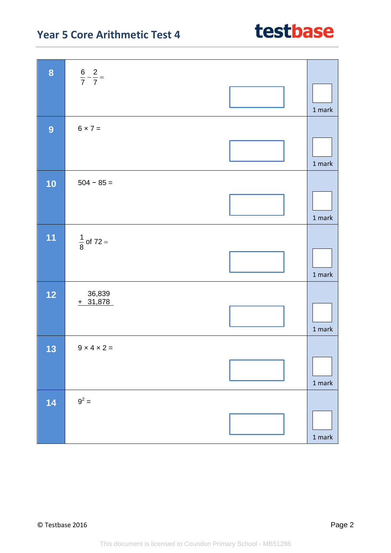| 8  | $rac{6}{7} - \frac{2}{7} =$ |        |
|----|-----------------------------|--------|
|    |                             | 1 mark |
| 9  | $6 \times 7 =$              |        |
|    |                             | 1 mark |
| 10 | $504 - 85 =$                |        |
|    |                             | 1 mark |
| 11 | $\frac{1}{8}$ of 72 =       |        |
|    |                             | 1 mark |
| 12 | $36,839$<br>+ $31,878$      |        |
|    |                             | 1 mark |
| 13 | $9 \times 4 \times 2 =$     |        |
|    |                             | 1 mark |
| 14 | $9^2 =$                     |        |
|    |                             | 1 mark |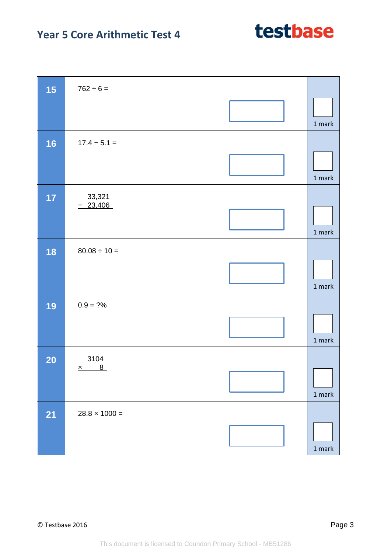| 15        | $762 \div 6 =$       |               |
|-----------|----------------------|---------------|
|           |                      | 1 mark        |
| 16        | $17.4 - 5.1 =$       |               |
|           |                      | $1$ mark      |
| 17        | 33,321               |               |
|           | $-23,406$            | $1$ mark      |
| 18        | $80.08 \div 10 =$    |               |
|           |                      | 1 mark        |
| 19        | $0.9 = ?%$           |               |
|           |                      | 1 mark        |
| <b>20</b> | 3104                 |               |
|           | $x$ 8                | $1$ mark      |
| <b>21</b> | $28.8 \times 1000 =$ |               |
|           |                      | $1$ mark $\,$ |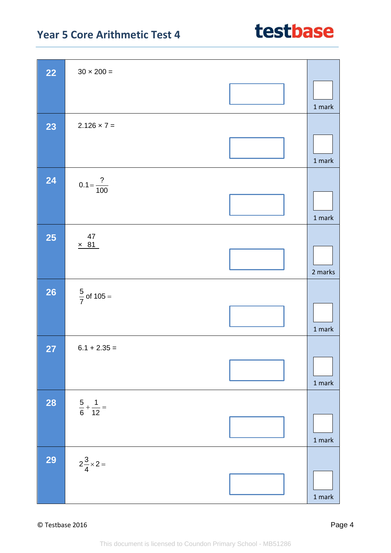| <b>22</b>       | $30 \times 200 =$            |          |
|-----------------|------------------------------|----------|
|                 |                              |          |
|                 |                              | 1 mark   |
| 23              | $2.126 \times 7 =$           |          |
|                 |                              |          |
|                 |                              | 1 mark   |
| 24              | $0.1 = \frac{?}{100}$        |          |
|                 |                              |          |
|                 |                              | 1 mark   |
|                 | 47                           |          |
| <b>25</b>       | $\times$ 81                  |          |
|                 |                              |          |
|                 |                              | 2 marks  |
| $\overline{26}$ | $\frac{5}{7}$ of 105 =       |          |
|                 |                              |          |
|                 |                              | 1 mark   |
| 27              | $6.1 + 2.35 =$               |          |
|                 |                              |          |
|                 |                              | $1$ mark |
| <b>28</b>       | $rac{5}{6} + \frac{1}{12} =$ |          |
|                 |                              |          |
|                 |                              | $1$ mark |
| 29              |                              |          |
|                 | $2\frac{3}{4} \times 2 =$    |          |
|                 |                              |          |
|                 |                              | $1$ mark |